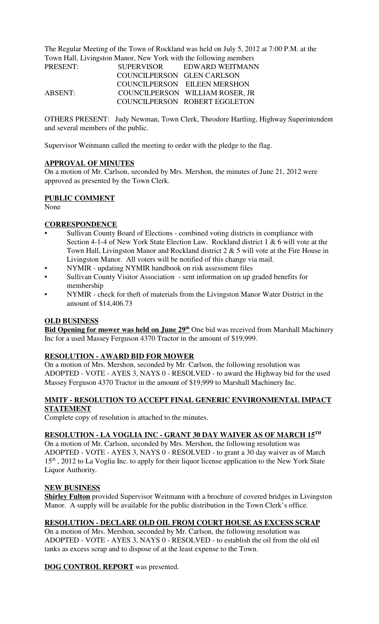The Regular Meeting of the Town of Rockland was held on July 5, 2012 at 7:00 P.M. at the Town Hall, Livingston Manor, New York with the following members

| PRESENT: | <b>SUPERVISOR</b>          | EDWARD WEITMANN                 |
|----------|----------------------------|---------------------------------|
|          | COUNCILPERSON GLEN CARLSON |                                 |
|          |                            | COUNCILPERSON EILEEN MERSHON    |
| ABSENT:  |                            | COUNCILPERSON WILLIAM ROSER, JR |
|          |                            | COUNCILPERSON ROBERT EGGLETON   |

OTHERS PRESENT: Judy Newman, Town Clerk, Theodore Hartling, Highway Superintendent and several members of the public.

Supervisor Weitmann called the meeting to order with the pledge to the flag.

## **APPROVAL OF MINUTES**

On a motion of Mr. Carlson, seconded by Mrs. Mershon, the minutes of June 21, 2012 were approved as presented by the Town Clerk.

#### **PUBLIC COMMENT**

None

## **CORRESPONDENCE**

- Sullivan County Board of Elections combined voting districts in compliance with Section 4-1-4 of New York State Election Law. Rockland district 1 & 6 will vote at the Town Hall, Livingston Manor and Rockland district 2 & 5 will vote at the Fire House in Livingston Manor. All voters will be notified of this change via mail.
- NYMIR updating NYMIR handbook on risk assessment files
- Sullivan County Visitor Association sent information on up graded benefits for membership
- NYMIR check for theft of materials from the Livingston Manor Water District in the amount of \$14,406.73

#### **OLD BUSINESS**

**Bid Opening for mower was held on June 29<sup>th</sup> One bid was received from Marshall Machinery** Inc for a used Massey Ferguson 4370 Tractor in the amount of \$19,999.

## **RESOLUTION - AWARD BID FOR MOWER**

On a motion of Mrs. Mershon, seconded by Mr. Carlson, the following resolution was ADOPTED - VOTE - AYES 3, NAYS 0 - RESOLVED - to award the Highway bid for the used Massey Ferguson 4370 Tractor in the amount of \$19,999 to Marshall Machinery Inc.

## **MMTF - RESOLUTION TO ACCEPT FINAL GENERIC ENVIRONMENTAL IMPACT STATEMENT**

Complete copy of resolution is attached to the minutes.

## **RESOLUTION - LA VOGLIA INC - GRANT 30 DAY WAIVER AS OF MARCH 15TH**

On a motion of Mr. Carlson, seconded by Mrs. Mershon, the following resolution was ADOPTED - VOTE - AYES 3, NAYS 0 - RESOLVED - to grant a 30 day waiver as of March 15<sup>th</sup>, 2012 to La Voglia Inc. to apply for their liquor license application to the New York State Liquor Authority.

#### **NEW BUSINESS**

**Shirley Fulton** provided Supervisor Weitmann with a brochure of covered bridges in Livingston Manor. A supply will be available for the public distribution in the Town Clerk's office.

## **RESOLUTION - DECLARE OLD OIL FROM COURT HOUSE AS EXCESS SCRAP**

On a motion of Mrs. Mershon, seconded by Mr. Carlson, the following resolution was ADOPTED - VOTE - AYES 3, NAYS 0 - RESOLVED - to establish the oil from the old oil tanks as excess scrap and to dispose of at the least expense to the Town.

**DOG CONTROL REPORT** was presented.